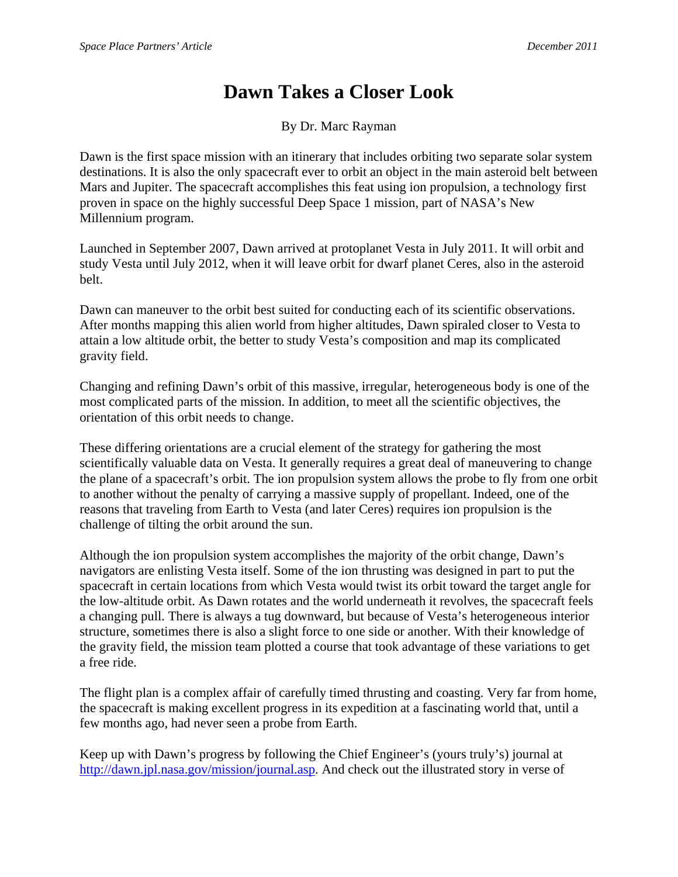## **Dawn Takes a Closer Look**

By Dr. Marc Rayman

Dawn is the first space mission with an itinerary that includes orbiting two separate solar system destinations. It is also the only spacecraft ever to orbit an object in the main asteroid belt between Mars and Jupiter. The spacecraft accomplishes this feat using ion propulsion, a technology first proven in space on the highly successful Deep Space 1 mission, part of NASA's New Millennium program.

Launched in September 2007, Dawn arrived at protoplanet Vesta in July 2011. It will orbit and study Vesta until July 2012, when it will leave orbit for dwarf planet Ceres, also in the asteroid belt.

Dawn can maneuver to the orbit best suited for conducting each of its scientific observations. After months mapping this alien world from higher altitudes, Dawn spiraled closer to Vesta to attain a low altitude orbit, the better to study Vesta's composition and map its complicated gravity field.

Changing and refining Dawn's orbit of this massive, irregular, heterogeneous body is one of the most complicated parts of the mission. In addition, to meet all the scientific objectives, the orientation of this orbit needs to change.

These differing orientations are a crucial element of the strategy for gathering the most scientifically valuable data on Vesta. It generally requires a great deal of maneuvering to change the plane of a spacecraft's orbit. The ion propulsion system allows the probe to fly from one orbit to another without the penalty of carrying a massive supply of propellant. Indeed, one of the reasons that traveling from Earth to Vesta (and later Ceres) requires ion propulsion is the challenge of tilting the orbit around the sun.

Although the ion propulsion system accomplishes the majority of the orbit change, Dawn's navigators are enlisting Vesta itself. Some of the ion thrusting was designed in part to put the spacecraft in certain locations from which Vesta would twist its orbit toward the target angle for the low-altitude orbit. As Dawn rotates and the world underneath it revolves, the spacecraft feels a changing pull. There is always a tug downward, but because of Vesta's heterogeneous interior structure, sometimes there is also a slight force to one side or another. With their knowledge of the gravity field, the mission team plotted a course that took advantage of these variations to get a free ride.

The flight plan is a complex affair of carefully timed thrusting and coasting. Very far from home, the spacecraft is making excellent progress in its expedition at a fascinating world that, until a few months ago, had never seen a probe from Earth.

Keep up with Dawn's progress by following the Chief Engineer's (yours truly's) journal at http://dawn.jpl.nasa.gov/mission/journal.asp. And check out the illustrated story in verse of